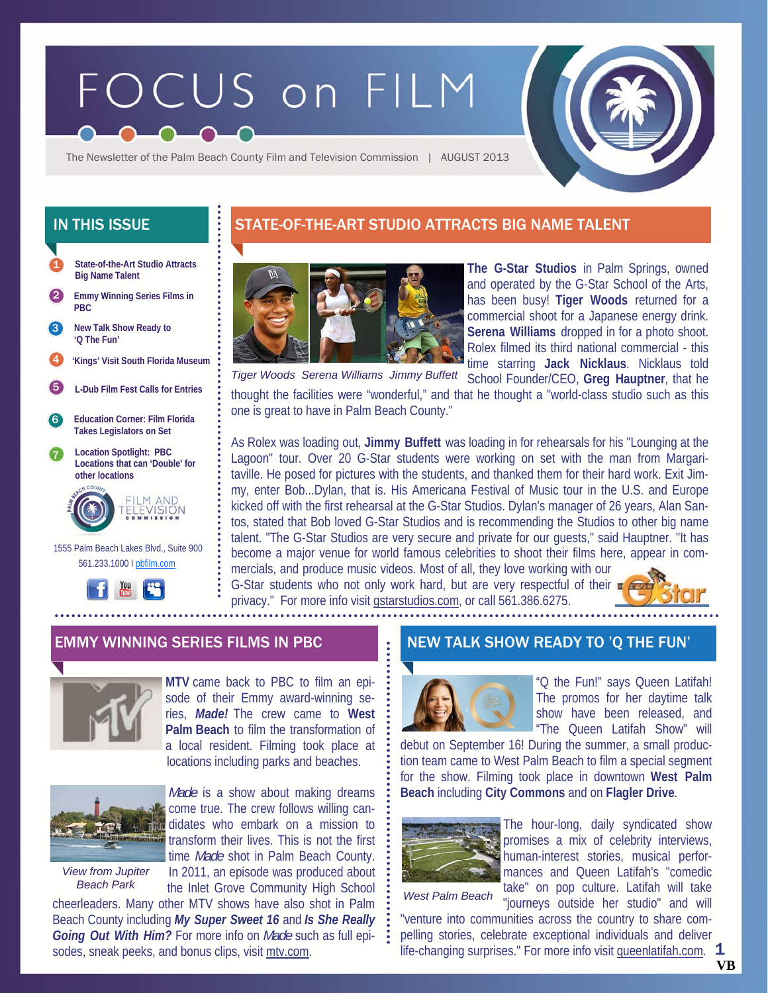# FOCUS on FILM



The Newsletter of the Palm Beach County Film and Television Commission | AUGUST 2013

- **State-of-the-Art Studio Attracts Big Name Talent**  1
- 2 **Emmy Winning Series Films in PBC**
- **New Talk Show Ready to 'Q The Fun'**  3
- 4 **'Kings' Visit South Florida Museum**
- 5 **L-Dub Film Fest Calls for Entries**
- 6 **Education Corner: Film Florida Takes Legislators on Set**
- 7 **Location Spotlight: PBC Locations that can 'Double' for other locations**



 1555 Palm Beach Lakes Blvd., Suite 900 561.233.1000 I pbfilm.com



# IN THIS ISSUE STATE-OF-THE-ART STUDIO ATTRACTS BIG NAME TALENT



**The G-Star Studios** in Palm Springs, owned and operated by the G-Star School of the Arts, has been busy! **Tiger Woods** returned for a commercial shoot for a Japanese energy drink. **Serena Williams** dropped in for a photo shoot. Rolex filmed its third national commercial - this time starring **Jack Nicklaus**. Nicklaus told

School Founder/CEO, **Greg Hauptner**, that he thought the facilities were "wonderful," and that he thought a "world-class studio such as this one is great to have in Palm Beach County." *Tiger Woods Serena Williams Jimmy Buffett* 

As Rolex was loading out, **Jimmy Buffett** was loading in for rehearsals for his "Lounging at the Lagoon" tour. Over 20 G-Star students were working on set with the man from Margaritaville. He posed for pictures with the students, and thanked them for their hard work. Exit Jimmy, enter Bob...Dylan, that is. His Americana Festival of Music tour in the U.S. and Europe kicked off with the first rehearsal at the G-Star Studios. Dylan's manager of 26 years, Alan Santos, stated that Bob loved G-Star Studios and is recommending the Studios to other big name talent. "The G-Star Studios are very secure and private for our guests," said Hauptner. "It has become a major venue for world famous celebrities to shoot their films here, appear in commercials, and produce music videos. Most of all, they love working with our G-Star students who not only work hard, but are very respectful of their  $\blacksquare$ 

privacy." For more info visit gstarstudios.com, or call 561.386.6275.



## EMMY WINNING SERIES FILMS IN PBC NEW TALK SHOW READY TO 'Q THE FUN'



**MTV** came back to PBC to film an episode of their Emmy award-winning series, *Made!* The crew came to **West Palm Beach** to film the transformation of a local resident. Filming took place at locations including parks and beaches.



*View from Jupiter Beach Park* 

*Made* is a show about making dreams come true. The crew follows willing candidates who embark on a mission to transform their lives. This is not the first time *Made* shot in Palm Beach County. In 2011, an episode was produced about the Inlet Grove Community High School

cheerleaders. Many other MTV shows have also shot in Palm Beach County including *My Super Sweet 16* and *Is She Really Going Out With Him?* For more info on *Made* such as full episodes, sneak peeks, and bonus clips, visit mtv.com.



"Q the Fun!" says Queen Latifah! The promos for her daytime talk show have been released, and "The Queen Latifah Show" will

debut on September 16! During the summer, a small production team came to West Palm Beach to film a special segment for the show. Filming took place in downtown **West Palm Beach** including **City Commons** and on **Flagler Drive**.



The hour-long, daily syndicated show promises a mix of celebrity interviews, human-interest stories, musical performances and Queen Latifah's "comedic take" on pop culture. Latifah will take

*West Palm Beach* 

1 "journeys outside her studio" and will "venture into communities across the country to share compelling stories, celebrate exceptional individuals and deliver life-changing surprises." For more info visit queenlatifah.com.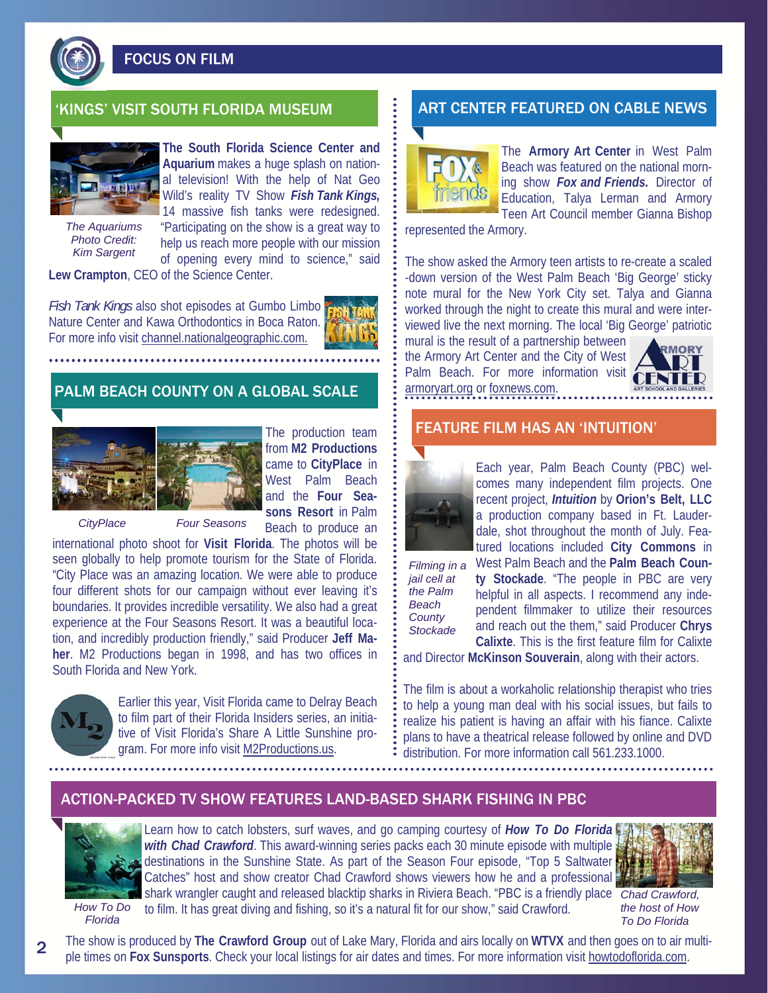

FOCUS ON FILM



**The South Florida Science Center and Aquarium** makes a huge splash on national television! With the help of Nat Geo Wild's reality TV Show *Fish Tank Kings,*  14 massive fish tanks were redesigned.

*The Aquariums Photo Credit: Kim Sargent* 

"Participating on the show is a great way to help us reach more people with our mission of opening every mind to science," said

**Lew Crampton**, CEO of the Science Center.

*Fish Tank Kings* also shot episodes at Gumbo Limbo Nature Center and Kawa Orthodontics in Boca Raton. For more info visit channel.nationalgeographic.com.

## PALM BEACH COUNTY ON A GLOBAL SCALE



The production team from **M2 Productions**  came to **CityPlace** in West Palm Beach and the **Four Seasons Resort** in Palm Beach to produce an

*CityPlace Four Seasons*

international photo shoot for **Visit Florida**. The photos will be seen globally to help promote tourism for the State of Florida. "City Place was an amazing location. We were able to produce four different shots for our campaign without ever leaving it's boundaries. It provides incredible versatility. We also had a great experience at the Four Seasons Resort. It was a beautiful location, and incredibly production friendly," said Producer **Jeff Maher**. M2 Productions began in 1998, and has two offices in South Florida and New York.



Earlier this year, Visit Florida came to Delray Beach to film part of their Florida Insiders series, an initiative of Visit Florida's Share A Little Sunshine program. For more info visit M2Productions.us.

# KINGS' VISIT SOUTH FLORIDA MUSEUM **ART CENTER FEATURED ON CABLE NEWS**



The **Armory Art Center** in West Palm Beach was featured on the national morning show *Fox and Friends.* Director of Education, Talya Lerman and Armory Teen Art Council member Gianna Bishop

represented the Armory.

The show asked the Armory teen artists to re-create a scaled -down version of the West Palm Beach 'Big George' sticky note mural for the New York City set. Talya and Gianna worked through the night to create this mural and were interviewed live the next morning. The local 'Big George' patriotic

mural is the result of a partnership between the Armory Art Center and the City of West Palm Beach. For more information visit armoryart.org or foxnews.com.



### FEATURE FILM HAS AN 'INTUITION'



Each year, Palm Beach County (PBC) welcomes many independent film projects. One recent project, *Intuition* by **Orion's Belt, LLC** a production company based in Ft. Lauderdale, shot throughout the month of July. Featured locations included **City Commons** in

*jail cell at the Palm Beach County Stockade* 

Filming in a West Palm Beach and the Palm Beach Coun**ty Stockade**. "The people in PBC are very helpful in all aspects. I recommend any independent filmmaker to utilize their resources and reach out the them," said Producer **Chrys Calixte**. This is the first feature film for Calixte

and Director **McKinson Souverain**, along with their actors.

The film is about a workaholic relationship therapist who tries to help a young man deal with his social issues, but fails to realize his patient is having an affair with his fiance. Calixte plans to have a theatrical release followed by online and DVD distribution. For more information call 561.233.1000.

## ACTION-PACKED TV SHOW FEATURES LAND-BASED SHARK FISHING IN PBC



Learn how to catch lobsters, surf waves, and go camping courtesy of *How To Do Florida with Chad Crawford*. This award-winning series packs each 30 minute episode with multiple destinations in the Sunshine State. As part of the Season Four episode, "Top 5 Saltwater Catches" host and show creator Chad Crawford shows viewers how he and a professional shark wrangler caught and released blacktip sharks in Riviera Beach. "PBC is a friendly place *Chad Crawford,*  to film. It has great diving and fishing, so it's a natural fit for our show," said Crawford.



*the host of How To Do Florida* 

*How To Do Florida* 

The show is produced by **The Crawford Group** out of Lake Mary, Florida and airs locally on **WTVX** and then goes on to air multiple times on **Fox Sunsports**. Check your local listings for air dates and times. For more information visit howtodoflorida.com.

2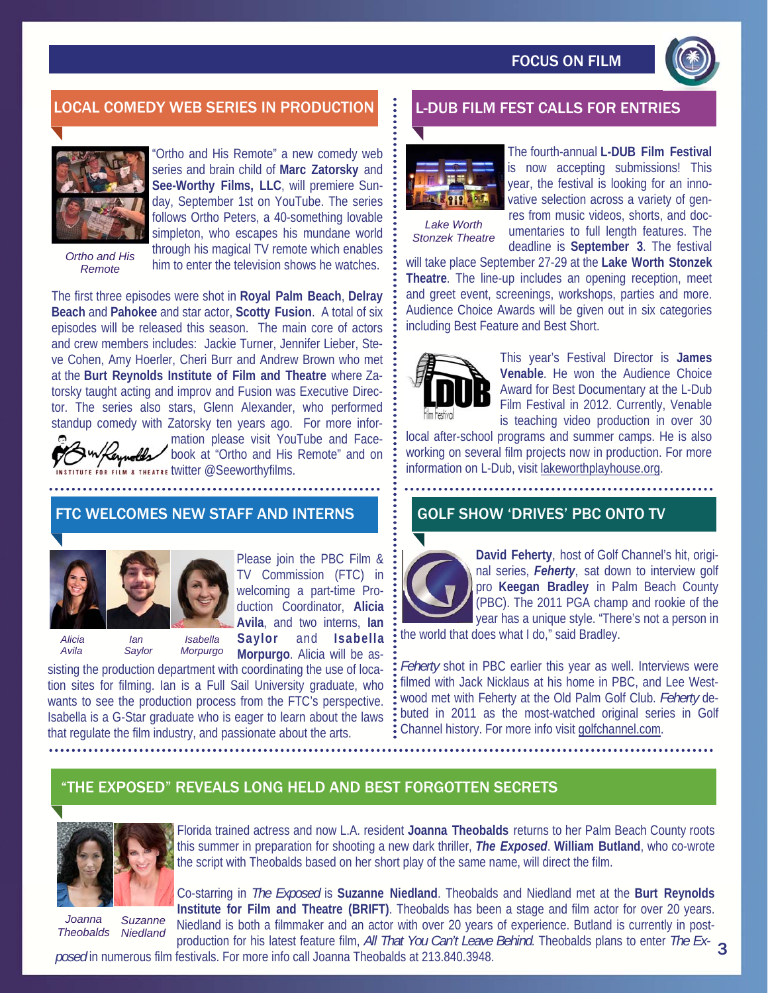

# LOCAL COMEDY WEB SERIES IN PRODUCTION **REAL-DUB FILM FEST CALLS FOR ENTRIES**



Ortho and His Remote" a new comedy web series and brain child of **Marc Zatorsky** and **See-Worthy Films, LLC**, will premiere Sunday, September 1st on YouTube. The series follows Ortho Peters, a 40-something lovable

*Ortho and His Remote* 

simpleton, who escapes his mundane world through his magical TV remote which enables him to enter the television shows he watches.

The first three episodes were shot in **Royal Palm Beach**, **Delray Beach** and **Pahokee** and star actor, **Scotty Fusion**. A total of six episodes will be released this season. The main core of actors and crew members includes: Jackie Turner, Jennifer Lieber, Steve Cohen, Amy Hoerler, Cheri Burr and Andrew Brown who met at the **Burt Reynolds Institute of Film and Theatre** where Zatorsky taught acting and improv and Fusion was Executive Director. The series also stars, Glenn Alexander, who performed standup comedy with Zatorsky ten years ago. For more information please visit YouTube and Face-

book at "Ortho and His Remote" and on FOR FILM & THEATRE IWITTER @Seeworthvfilms.

## FTC WELCOMES NEW STAFF AND INTERNS



Please join the PBC Film & TV Commission (FTC) in welcoming a part-time Production Coordinator, **Alicia Avila**, and two interns, **Ian Saylor** and **Isabella** 

 *Alicia Ian Isabella* 

 *Avila Saylor Morpurgo* 

**Morpurgo**. Alicia will be assisting the production department with coordinating the use of location sites for filming. Ian is a Full Sail University graduate, who wants to see the production process from the FTC's perspective. Isabella is a G-Star graduate who is eager to learn about the laws that regulate the film industry, and passionate about the arts.



The fourth-annual **L-DUB Film Festival**  is now accepting submissions! This year, the festival is looking for an innovative selection across a variety of gen-

*Lake Worth Stonzek Theatre*  res from music videos, shorts, and documentaries to full length features. The deadline is **September 3**. The festival

will take place September 27-29 at the **Lake Worth Stonzek Theatre**. The line-up includes an opening reception, meet and greet event, screenings, workshops, parties and more. Audience Choice Awards will be given out in six categories including Best Feature and Best Short.



This year's Festival Director is **James Venable**. He won the Audience Choice Award for Best Documentary at the L-Dub Film Festival in 2012. Currently, Venable is teaching video production in over 30

local after-school programs and summer camps. He is also working on several film projects now in production. For more information on L-Dub, visit lakeworthplayhouse.org.

### GOLF SHOW 'DRIVES' PBC ONTO TV



**David Feherty**, host of Golf Channel's hit, original series, *Feherty*, sat down to interview golf pro **Keegan Bradley** in Palm Beach County (PBC). The 2011 PGA champ and rookie of the year has a unique style. "There's not a person in

the world that does what I do," said Bradley.

*Feherty* shot in PBC earlier this year as well. Interviews were filmed with Jack Nicklaus at his home in PBC, and Lee Westwood met with Feherty at the Old Palm Golf Club. *Feherty* debuted in 2011 as the most-watched original series in Golf Channel history. For more info visit golfchannel.com.

# "THE EXPOSED" REVEALS LONG HELD AND BEST FORGOTTEN SECRETS



*Joanna Theobalds Suzanne Niedland* 

Florida trained actress and now L.A. resident **Joanna Theobalds** returns to her Palm Beach County roots this summer in preparation for shooting a new dark thriller, *The Exposed*. **William Butland**, who co-wrote the script with Theobalds based on her short play of the same name, will direct the film.

Co-starring in *The Exposed* is **Suzanne Niedland**. Theobalds and Niedland met at the **Burt Reynolds Institute for Film and Theatre (BRIFT)**. Theobalds has been a stage and film actor for over 20 years. Niedland is both a filmmaker and an actor with over 20 years of experience. Butland is currently in postproduction for his latest feature film, *All That You Can't Leave Behind*. Theobalds plans to enter *The Ex-*3

*posed* in numerous film festivals. For more info call Joanna Theobalds at 213.840.3948.